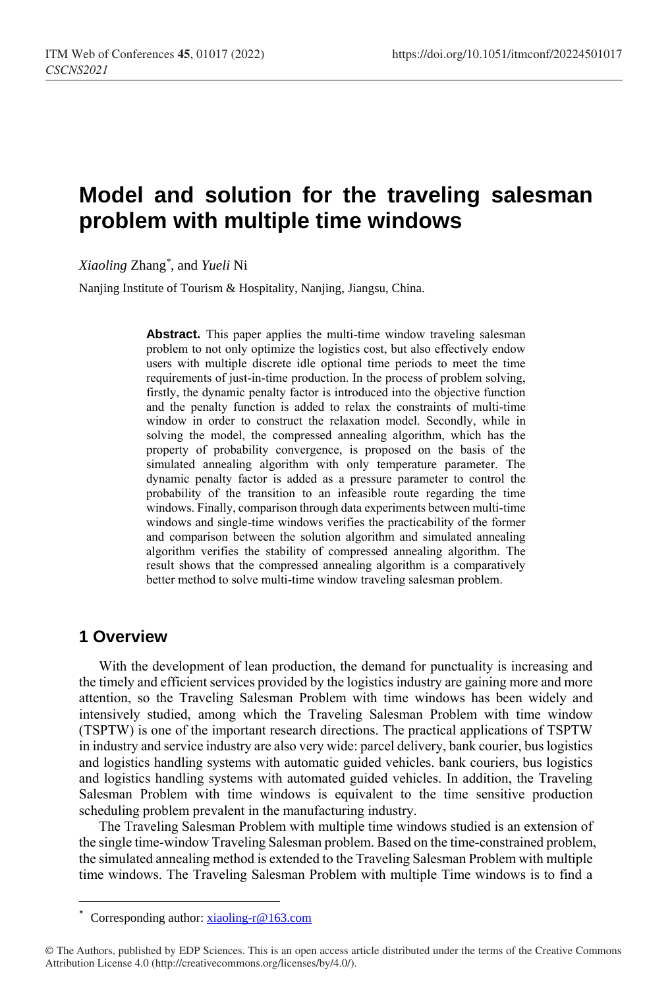# **Model and solution for the traveling salesman problem with multiple time windows**

*Xiaoling* Zhang*\** , and *Yueli* Ni

Nanjing Institute of Tourism & Hospitality, Nanjing, Jiangsu, China.

Abstract. This paper applies the multi-time window traveling salesman problem to not only optimize the logistics cost, but also effectively endow users with multiple discrete idle optional time periods to meet the time requirements of just-in-time production. In the process of problem solving, firstly, the dynamic penalty factor is introduced into the objective function and the penalty function is added to relax the constraints of multi-time window in order to construct the relaxation model. Secondly, while in solving the model, the compressed annealing algorithm, which has the property of probability convergence, is proposed on the basis of the simulated annealing algorithm with only temperature parameter. The dynamic penalty factor is added as a pressure parameter to control the probability of the transition to an infeasible route regarding the time windows. Finally, comparison through data experiments between multi-time windows and single-time windows verifies the practicability of the former and comparison between the solution algorithm and simulated annealing algorithm verifies the stability of compressed annealing algorithm. The result shows that the compressed annealing algorithm is a comparatively better method to solve multi-time window traveling salesman problem.

### **1 Overview**

 $\overline{a}$ 

With the development of lean production, the demand for punctuality is increasing and the timely and efficient services provided by the logistics industry are gaining more and more attention, so the Traveling Salesman Problem with time windows has been widely and intensively studied, among which the Traveling Salesman Problem with time window (TSPTW) is one of the important research directions. The practical applications of TSPTW in industry and service industry are also very wide: parcel delivery, bank courier, bus logistics and logistics handling systems with automatic guided vehicles. bank couriers, bus logistics and logistics handling systems with automated guided vehicles. In addition, the Traveling Salesman Problem with time windows is equivalent to the time sensitive production scheduling problem prevalent in the manufacturing industry.

The Traveling Salesman Problem with multiple time windows studied is an extension of the single time-window Traveling Salesman problem. Based on the time-constrained problem, the simulated annealing method is extended to the Traveling Salesman Problem with multiple time windows. The Traveling Salesman Problem with multiple Time windows is to find a

Corresponding author[: xiaoling-r@163.com](mailto:xiaoling-r@163.com)

<sup>©</sup> The Authors, published by EDP Sciences. This is an open access article distributed under the terms of the Creative Commons Attribution License 4.0 (http://creativecommons.org/licenses/by/4.0/).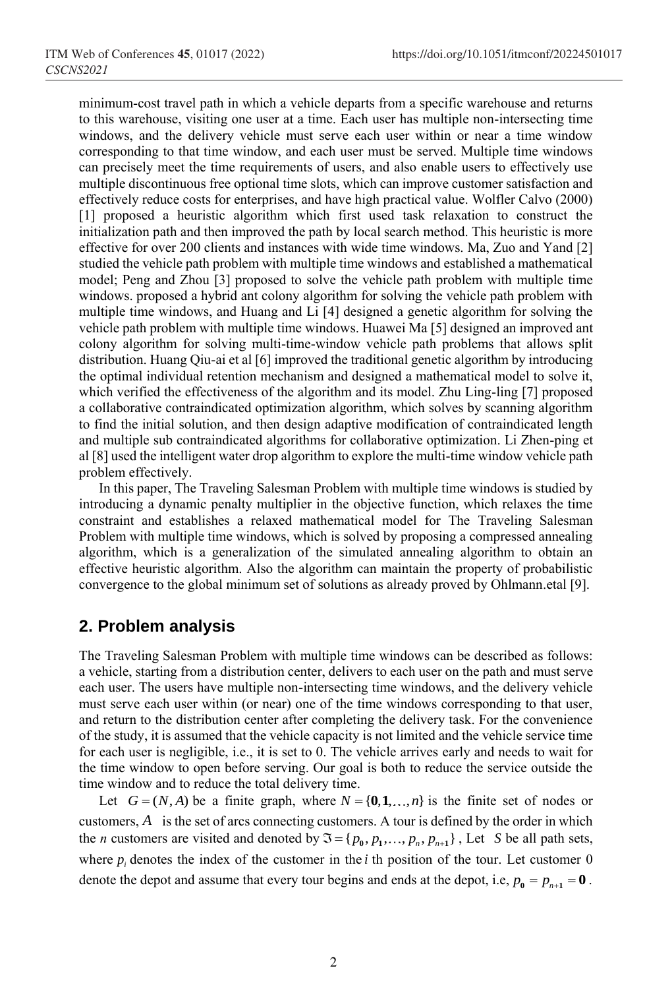minimum-cost travel path in which a vehicle departs from a specific warehouse and returns to this warehouse, visiting one user at a time. Each user has multiple non-intersecting time windows, and the delivery vehicle must serve each user within or near a time window corresponding to that time window, and each user must be served. Multiple time windows can precisely meet the time requirements of users, and also enable users to effectively use multiple discontinuous free optional time slots, which can improve customer satisfaction and effectively reduce costs for enterprises, and have high practical value. Wolfler Calvo (2000) [1] proposed a heuristic algorithm which first used task relaxation to construct the initialization path and then improved the path by local search method. This heuristic is more effective for over 200 clients and instances with wide time windows. Ma, Zuo and Yand [2] studied the vehicle path problem with multiple time windows and established a mathematical model; Peng and Zhou [3] proposed to solve the vehicle path problem with multiple time windows. proposed a hybrid ant colony algorithm for solving the vehicle path problem with multiple time windows, and Huang and Li [4] designed a genetic algorithm for solving the vehicle path problem with multiple time windows. Huawei Ma [5] designed an improved ant colony algorithm for solving multi-time-window vehicle path problems that allows split distribution. Huang Qiu-ai et al [6] improved the traditional genetic algorithm by introducing the optimal individual retention mechanism and designed a mathematical model to solve it, which verified the effectiveness of the algorithm and its model. Zhu Ling-ling [7] proposed a collaborative contraindicated optimization algorithm, which solves by scanning algorithm to find the initial solution, and then design adaptive modification of contraindicated length and multiple sub contraindicated algorithms for collaborative optimization. Li Zhen-ping et al [8] used the intelligent water drop algorithm to explore the multi-time window vehicle path problem effectively.

In this paper, The Traveling Salesman Problem with multiple time windows is studied by introducing a dynamic penalty multiplier in the objective function, which relaxes the time constraint and establishes a relaxed mathematical model for The Traveling Salesman Problem with multiple time windows, which is solved by proposing a compressed annealing algorithm, which is a generalization of the simulated annealing algorithm to obtain an effective heuristic algorithm. Also the algorithm can maintain the property of probabilistic convergence to the global minimum set of solutions as already proved by Ohlmann.etal [9].

#### **2. Problem analysis**

The Traveling Salesman Problem with multiple time windows can be described as follows: a vehicle, starting from a distribution center, delivers to each user on the path and must serve each user. The users have multiple non-intersecting time windows, and the delivery vehicle must serve each user within (or near) one of the time windows corresponding to that user, and return to the distribution center after completing the delivery task. For the convenience of the study, it is assumed that the vehicle capacity is not limited and the vehicle service time for each user is negligible, i.e., it is set to 0. The vehicle arrives early and needs to wait for the time window to open before serving. Our goal is both to reduce the service outside the time window and to reduce the total delivery time.

Let  $G = (N, A)$  be a finite graph, where  $N = \{0, 1, ..., n\}$  is the finite set of nodes or customers, *A* is the set of arcs connecting customers. A tour is defined by the order in which the *n* customers are visited and denoted by  $\mathfrak{S} = \{p_0, p_1, \ldots, p_n, p_{n+1}\}\$ , Let *S* be all path sets, where  $p_i$  denotes the index of the customer in the *i* th position of the tour. Let customer 0 denote the depot and assume that every tour begins and ends at the depot, i.e,  $p_0 = p_{n+1} = 0$ .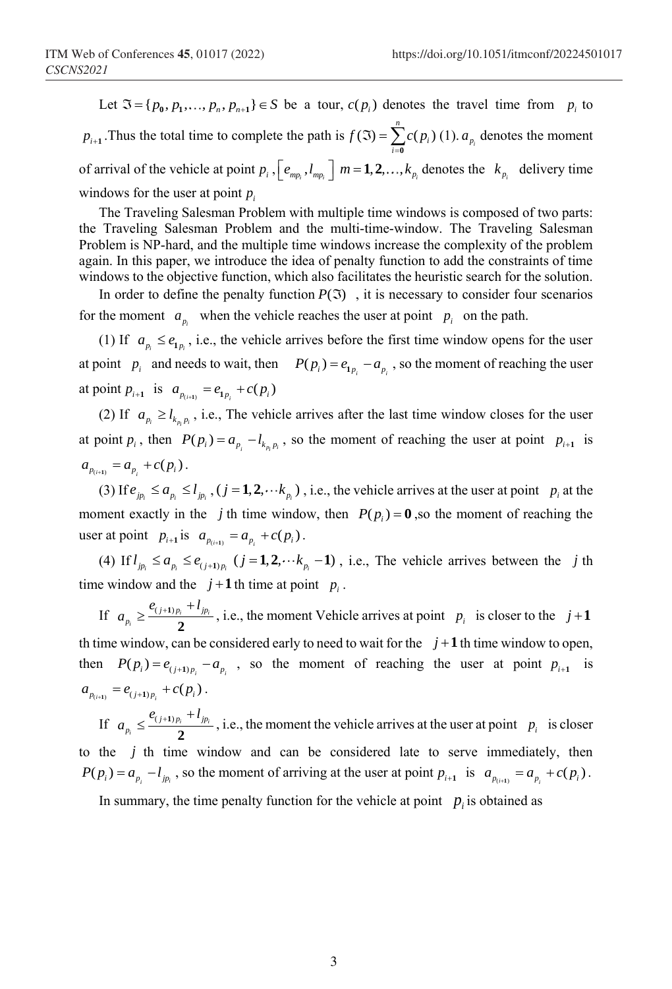Let  $\mathfrak{T} = \{p_0, p_1, \ldots, p_n, p_{n+1}\} \in S$  be a tour,  $c(p_i)$  denotes the travel time from  $p_i$  to  $p_{i+1}$ . Thus the total time to complete the path is  $f(\mathfrak{I}) = \sum_{i=1}^{n} c(p_i)$  $\sum_{i=0} C P_i$  $f(\mathfrak{I}) = \sum c(p)$  $\mathfrak{I}(\mathfrak{I})=\sum_{i=0}^{\infty}$ (1).  $a_{p_i}$  denotes the moment of arrival of the vehicle at point  $p_i$ ,  $e_{mp_i}$ ,  $l_{mp_i}$   $m = 1, 2, ..., k_{p_i}$  denotes the  $k_{p_i}$  delivery time windows for the user at point  $p_i$ 

The Traveling Salesman Problem with multiple time windows is composed of two parts: the Traveling Salesman Problem and the multi-time-window. The Traveling Salesman Problem is NP-hard, and the multiple time windows increase the complexity of the problem again. In this paper, we introduce the idea of penalty function to add the constraints of time windows to the objective function, which also facilitates the heuristic search for the solution.

In order to define the penalty function  $P(\mathfrak{I})$ , it is necessary to consider four scenarios for the moment  $a_{p_i}$  when the vehicle reaches the user at point  $p_i$  on the path.

(1) If  $a_{p_i} \le e_{\mathbf{1}_{p_i}}$ , i.e., the vehicle arrives before the first time window opens for the user at point  $p_i$  and needs to wait, then  $P(p_i) = e_{1p_i} - a_{p_i}$ , so the moment of reaching the user at point  $p_{i+1}$  is  $a_{p_{(i+1)}} = e_{1p_i} + c(p_i)$ 

(2) If  $a_{p_i} \ge l_{k_{p_i}p_i}$ , i.e., The vehicle arrives after the last time window closes for the user at point  $p_i$ , then  $P(p_i) = a_{p_i} - l_{k_{p_i}p_i}$ , so the moment of reaching the user at point  $p_{i+1}$  is  $a_{p_{(i+1)}} = a_{p_i} + c(p_i).$ 

(3) If  $e_{j p_i} \le a_{p_i} \le l_{j p_i}$ ,  $(j = 1, 2, \dots k_{p_i})$ , i.e., the vehicle arrives at the user at point  $p_i$  at the moment exactly in the *j* th time window, then  $P(p_i) = \mathbf{0}$ , so the moment of reaching the user at point  $p_{i+1}$  is  $a_{p_{(i+1)}} = a_{p_i} + c(p_i)$ .

(4) If  $l_{j_{p_i}} \le a_{p_i} \le e_{(j+1)p_i}$   $(j=1,2,\dots k_{p_i}-1)$ , i.e., The vehicle arrives between the j th time window and the  $j+1$  th time at point  $p_i$ .

If  $a_{p_i} \geq \frac{\epsilon_{(j+1)p_i} + \epsilon_{jp_i}}{2}$  $p_i \geq \frac{e_{(j+1)p_i} + e_{jp}}{2}$  $a_n \geq \frac{e_{(j+1)p_i} + l}{2}$  $\frac{p_i \cdots p_i}{2}$ , i.e., the moment Vehicle arrives at point  $p_i$  is closer to the  $j+1$ th time window, can be considered early to need to wait for the  $j+1$  th time window to open, then  $P(p_i) = e_{(i+1)p_i} - a_{p_i}$ , so the moment of reaching the user at point  $p_{i+1}$  is  $a_{p_{(i+1)}} = e_{(j+1)p_i} + c(p_i).$ 

If  $a_{p_i} \leq \frac{\epsilon_{(j+1)p_i} + \epsilon_{jp_i}}{2}$  $p_i \leq \frac{e_{(j+1)p_i}+e_{jp}}{2}$  $a_{n} \leq \frac{e_{(j+1)p_i} + l}{2}$  $\frac{p_i - p_i}{2}$ , i.e., the moment the vehicle arrives at the user at point  $p_i$  is closer to the *j* th time window and can be considered late to serve immediately, then  $P(p_i) = a_{p_i} - l_{jp_i}$ , so the moment of arriving at the user at point  $p_{i+1}$  is  $a_{p_{i+1}} = a_{p_i} + c(p_i)$ .

In summary, the time penalty function for the vehicle at point  $p_i$  is obtained as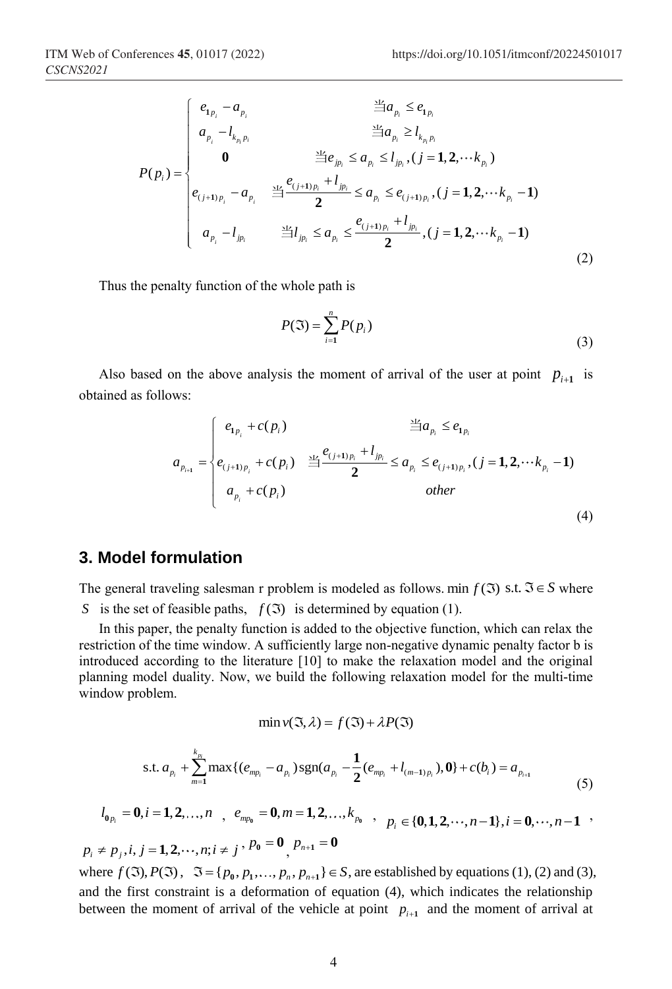$$
P(p_i) = \begin{cases} e_{1p_i} - a_{p_i} & \frac{3L}{2}a_{p_i} \le e_{1p_i} \\ a_{p_i} - l_{k_{p_i}p_i} & \frac{3L}{2}a_{p_i} \ge l_{k_{p_i}p_i} \\ 0 & \frac{3L}{2}e_{jp_i} \le a_{p_i} \le l_{jp_i}, (j = 1, 2, \cdots k_{p_i}) \\ e_{(j+1)p_i} - a_{p_i} & \frac{3L}{2}e_{(j+1)p_i} + l_{jp_i} \le a_{p_i} \le e_{(j+1)p_i}, (j = 1, 2, \cdots k_{p_i} - 1) \\ a_{p_i} - l_{jp_i} & \frac{3L}{2}l_{jp_i} \le a_{p_i} \le \frac{e_{(j+1)p_i} + l_{jp_i}}{2}, (j = 1, 2, \cdots k_{p_i} - 1) \end{cases}
$$
(2)

Thus the penalty function of the whole path is

$$
P(\mathfrak{I}) = \sum_{i=1}^{n} P(p_i)
$$
\n(3)

Also based on the above analysis the moment of arrival of the user at point  $p_{i+1}$  is obtained as follows:

ows:  
\n
$$
a_{p_{i+1}} = \begin{cases} e_{1p_i} + c(p_i) & \frac{\Delta P}{\Delta} a_{p_i} \le e_{1p_i} \\ e_{(j+1)p_i} + c(p_i) & \frac{\Delta P}{\Delta} \le a_{p_i} \le e_{(j+1)p_i}, (j = 1, 2, \cdots k_{p_i} - 1) \\ a_{p_i} + c(p_i) & other \end{cases}
$$
\n(4)

#### **3. Model formulation**

The general traveling salesman r problem is modeled as follows. min  $f(\mathfrak{T})$  s.t.  $\mathfrak{T} \in S$  where *S* is the set of feasible paths,  $f(\mathfrak{T})$  is determined by equation (1).

In this paper, the penalty function is added to the objective function, which can relax the restriction of the time window. A sufficiently large non-negative dynamic penalty factor b is introduced according to the literature [10] to make the relaxation model and the original planning model duality. Now, we build the following relaxation model for the multi-time window problem.

$$
\min v(\mathfrak{I}, \lambda) = f(\mathfrak{I}) + \lambda P(\mathfrak{I})
$$

$$
\min_{\nu_{i} \in \mathcal{N}} \nu_{i} \left( e_{j} \right) \quad \text{(c)} \quad \text{and} \quad \nu_{i} \left( e_{j} \right)
$$
\n
$$
\text{s.t. } a_{p_{i}} + \sum_{m=1}^{k_{p_{i}}} \max \{ (e_{mp_{i}} - a_{p_{i}}) \text{sgn}(a_{p_{i}} - \frac{1}{2} (e_{mp_{i}} + l_{(m-1)p_{i}}), \mathbf{0} \} + c(b_{i}) = a_{p_{i+1}} \tag{5}
$$

$$
l_{0_{p_i}} = 0, i = 1, 2, ..., n
$$
,  $e_{mp_0} = 0, m = 1, 2, ..., k_{p_0}$ ,  $p_i \in \{0, 1, 2, ..., n-1\}, i = 0, ..., n-1$ 

 $p_i \neq p_j, i, j = 1, 2, \dots, n; i \neq j$ ,  $p_0 = 0$ <sub>,  $p_{n+1} = 0$ </sub>

where  $f(\Im), P(\Im), \Im = \{p_0, p_1, ..., p_n, p_{n+1}\} \in S$ , are established by equations (1), (2) and (3), and the first constraint is a deformation of equation (4), which indicates the relationship between the moment of arrival of the vehicle at point  $p_{i+1}$  and the moment of arrival at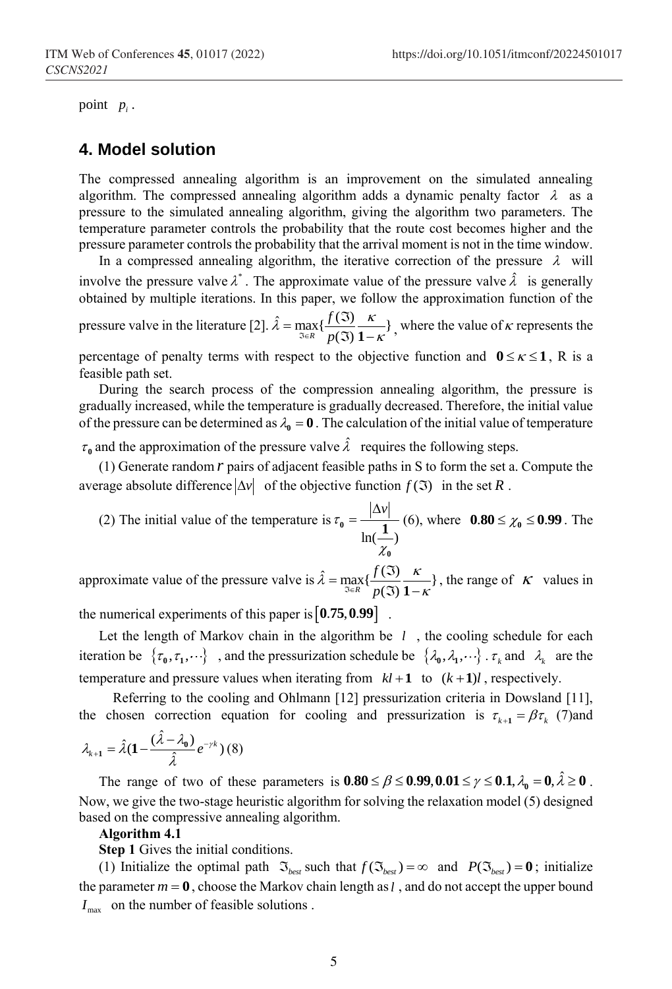point  $p_i$ .

#### **4. Model solution**

The compressed annealing algorithm is an improvement on the simulated annealing algorithm. The compressed annealing algorithm adds a dynamic penalty factor  $\lambda$  as a pressure to the simulated annealing algorithm, giving the algorithm two parameters. The temperature parameter controls the probability that the route cost becomes higher and the pressure parameter controls the probability that the arrival moment is not in the time window.

In a compressed annealing algorithm, the iterative correction of the pressure  $\lambda$  will involve the pressure valve  $\lambda^*$ . The approximate value of the pressure valve  $\hat{\lambda}$  is generally obtained by multiple iterations. In this paper, we follow the approximation function of the pressure valve in the literature [2].  $\hat{\lambda} = \max_{\Im \in R} \{ \frac{f(\Im)}{p(\Im)} \frac{\kappa}{1-\kappa} \}$ *f p*  $\hat{\lambda} = \max_{\Im \in R} \{ \frac{f(\Im)}{p(\Im)} \frac{\kappa}{1-\kappa} \}$  $=\max_{\Im\in\mathcal{R}}\{\frac{f(\Im)}{p(\Im)}\frac{\kappa}{1-\kappa}\}\,$ , where the value of  $\kappa$  represents the

percentage of penalty terms with respect to the objective function and  $0 \leq \kappa \leq 1$ , R is a feasible path set.

During the search process of the compression annealing algorithm, the pressure is gradually increased, while the temperature is gradually decreased. Therefore, the initial value of the pressure can be determined as  $\lambda_0 = 0$ . The calculation of the initial value of temperature

 $\tau_0$  and the approximation of the pressure valve  $\hat{\lambda}$  requires the following steps.

(1) Generate random *r* pairs of adjacent feasible paths in S to form the set a. Compute the average absolute difference  $|\Delta v|$  of the objective function  $f(\mathfrak{I})$  in the set R.

(2) The initial value of the temperature is  $ln($   $-$ )  $\tau_{0} = \frac{|\Delta v|}{|v|}$  $\chi$  $\chi_0 = \frac{|\Delta v|}{1.6 \times 1.6}$  (6), where  $0.80 \le \chi_0 \le 0.99$ . The **0**

approximate value of the pressure valve is  $\hat{\lambda} = \max_{\Im \in R} \{ \frac{f(\Im)}{p(\Im)} \frac{\kappa}{1-\kappa} \}$ *f p*  $\hat{\lambda} = \max_{\Im \in R} \{ \frac{f(\Im)}{p(\Im)} \frac{\kappa}{1-\kappa} \}$ =  $\max_{\Im \in \mathcal{R}} \{ \frac{f(\Im)}{p(\Im)} \frac{\kappa}{1-\kappa} \}$ , the range of  $\kappa$  values in

the numerical experiments of this paper is  $\left[0.75, 0.99\right]$ .

Let the length of Markov chain in the algorithm be  $l$ , the cooling schedule for each iteration be  $\{\tau_0, \tau_1, \dots\}$ , and the pressurization schedule be  $\{\lambda_0, \lambda_1, \dots\}$ .  $\tau_k$  and  $\lambda_k$  are the temperature and pressure values when iterating from  $kl+1$  to  $(k+1)l$ , respectively.

 Referring to the cooling and Ohlmann [12] pressurization criteria in Dowsland [11], the chosen correction equation for cooling and pressurization is  $\tau_{k+1} = \beta \tau_k$  (7)and

$$
\lambda_{k+1} = \hat{\lambda} (1 - \frac{(\hat{\lambda} - \lambda_0)}{\hat{\lambda}} e^{-\gamma k}) (8)
$$

The range of two of these parameters is  $0.80 \le \beta \le 0.99, 0.01 \le \gamma \le 0.1, \lambda_0 = 0, \hat{\lambda} \ge 0$ . Now, we give the two-stage heuristic algorithm for solving the relaxation model (5) designed based on the compressive annealing algorithm.

#### **Algorithm 4.1**

**Step 1** Gives the initial conditions.

(1) Initialize the optimal path  $\mathfrak{I}_{best}$  such that  $f(\mathfrak{I}_{best}) = \infty$  and  $P(\mathfrak{I}_{best}) = \mathbf{0}$ ; initialize the parameter  $m = 0$ , choose the Markov chain length as *l*, and do not accept the upper bound  $I_{\text{max}}$  on the number of feasible solutions.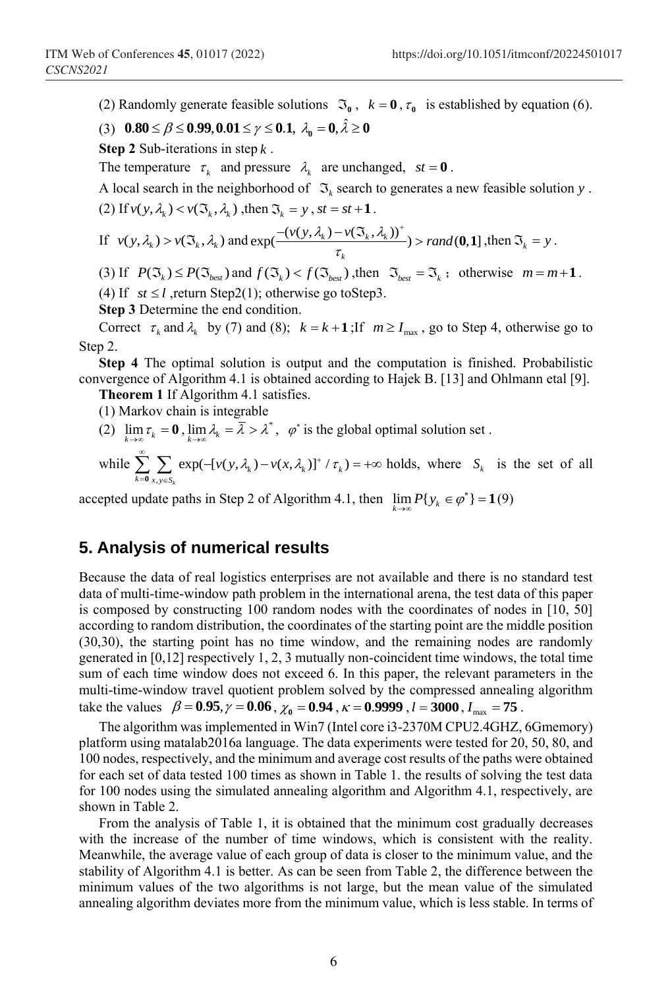(2) Randomly generate feasible solutions  $\mathfrak{I}_{0}$ ,  $k = 0$ ,  $\tau_{0}$  is established by equation (6).

(3) 
$$
0.80 \le \beta \le 0.99, 0.01 \le \gamma \le 0.1, \ \lambda_0 = 0, \ \lambda \ge 0
$$

**Step 2** Sub-iterations in step *k* .

The temperature  $\tau_k$  and pressure  $\lambda_k$  are unchanged,  $st = 0$ .

A local search in the neighborhood of  $\mathfrak{I}_k$  search to generates a new feasible solution y.

(2) If 
$$
v(y, \lambda_k) < v(\mathfrak{I}_k, \lambda_k)
$$
, then  $\mathfrak{I}_k = y$ ,  $st = st + 1$ .  
\nIf  $v(y, \lambda_k) > v(\mathfrak{I}_k, \lambda_k)$  and  $\exp(\frac{-(v(y, \lambda_k) - v(\mathfrak{I}_k, \lambda_k))^+}{\tau_k}) > rand(0, 1]$ , then  $\mathfrak{I}_k = y$ .

(3) If  $P(\mathfrak{T}_k) \leq P(\mathfrak{T}_{best})$  and  $f(\mathfrak{T}_k) < f(\mathfrak{T}_{best})$ , then  $\mathfrak{T}_{best} = \mathfrak{T}_k$ ; otherwise  $m = m + 1$ . (4) If  $st \le l$ , return Step2(1); otherwise go toStep3.

**Step 3** Determine the end condition.

Correct  $\tau_k$  and  $\lambda_k$  by (7) and (8);  $k = k + 1$ ; If  $m \ge I_{\text{max}}$ , go to Step 4, otherwise go to Step 2.

**Step 4** The optimal solution is output and the computation is finished. Probabilistic convergence of Algorithm 4.1 is obtained according to Hajek B. [13] and Ohlmann etal [9].

**Theorem 1** If Algorithm 4.1 satisfies.

(1) Markov chain is integrable

(2)  $\lim_{k \to \infty} \tau_k = 0$ ,  $\lim_{k \to \infty} \lambda_k = \overline{\lambda} > \lambda^*$ ,  $\varphi^*$  is the global optimal solution set.

(2) 
$$
\lim_{k \to \infty} \tau_k = 0
$$
,  $\lim_{k \to \infty} \lambda_k = \lambda > \lambda$ ,  $\varphi$  is the global optimal solution set.   
\nwhile  $\sum_{k=0}^{\infty} \sum_{x,y \in S_k} \exp(-[v(y, \lambda_k) - v(x, \lambda_k)]^+ / \tau_k) = +\infty$  holds, where  $S_k$  is the set of all

accepted update paths in Step 2 of Algorithm 4.1, then  $\lim_{k \to \infty} P\{y_k \in \varphi^*\}$  $\lim_{k \to \infty} P\{y_k \in \varphi^*\} = 1$ (9)

### **5. Analysis of numerical results**

Because the data of real logistics enterprises are not available and there is no standard test data of multi-time-window path problem in the international arena, the test data of this paper is composed by constructing 100 random nodes with the coordinates of nodes in [10, 50] according to random distribution, the coordinates of the starting point are the middle position (30,30), the starting point has no time window, and the remaining nodes are randomly generated in  $[0,12]$  respectively 1, 2, 3 mutually non-coincident time windows, the total time sum of each time window does not exceed 6. In this paper, the relevant parameters in the multi-time-window travel quotient problem solved by the compressed annealing algorithm take the values  $\beta = 0.95$ ,  $\gamma = 0.06$ ,  $\chi_0 = 0.94$ ,  $\kappa = 0.9999$ ,  $l = 3000$ ,  $I_{\text{max}} = 75$ .

The algorithm was implemented in Win7 (Intel core i3-2370M CPU2.4GHZ, 6Gmemory) platform using matalab2016a language. The data experiments were tested for 20, 50, 80, and 100 nodes, respectively, and the minimum and average cost results of the paths were obtained for each set of data tested 100 times as shown in Table 1. the results of solving the test data for 100 nodes using the simulated annealing algorithm and Algorithm 4.1, respectively, are shown in Table 2.

From the analysis of Table 1, it is obtained that the minimum cost gradually decreases with the increase of the number of time windows, which is consistent with the reality. Meanwhile, the average value of each group of data is closer to the minimum value, and the stability of Algorithm 4.1 is better. As can be seen from Table 2, the difference between the minimum values of the two algorithms is not large, but the mean value of the simulated annealing algorithm deviates more from the minimum value, which is less stable. In terms of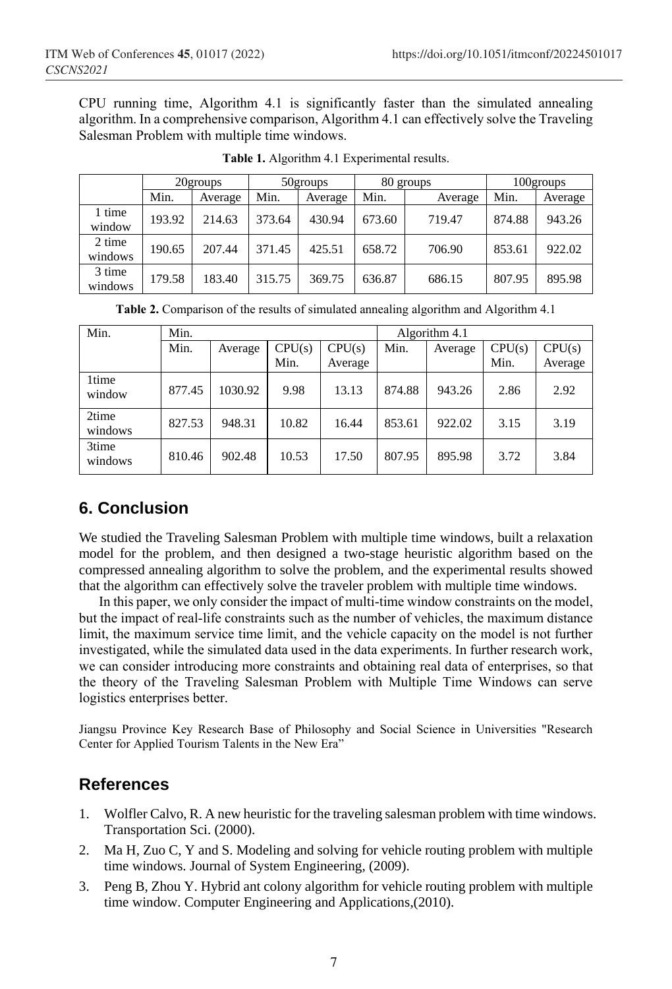CPU running time, Algorithm 4.1 is significantly faster than the simulated annealing algorithm. In a comprehensive comparison, Algorithm 4.1 can effectively solve the Traveling Salesman Problem with multiple time windows.

|                   | 20groups |         | 50groups |         | 80 groups |         | 100groups |         |
|-------------------|----------|---------|----------|---------|-----------|---------|-----------|---------|
|                   | Min.     | Average | Min.     | Average | Min.      | Average | Min.      | Average |
| 1 time<br>window  | 193.92   | 214.63  | 373.64   | 430.94  | 673.60    | 719.47  | 874.88    | 943.26  |
| 2 time<br>windows | 190.65   | 207.44  | 371.45   | 425.51  | 658.72    | 706.90  | 853.61    | 922.02  |
| 3 time<br>windows | 179.58   | 183.40  | 315.75   | 369.75  | 636.87    | 686.15  | 807.95    | 895.98  |

**Table 1.** Algorithm 4.1 Experimental results.

|  |  |  | Table 2. Comparison of the results of simulated annealing algorithm and Algorithm 4.1 |  |  |
|--|--|--|---------------------------------------------------------------------------------------|--|--|
|  |  |  |                                                                                       |  |  |
|  |  |  |                                                                                       |  |  |

| Min.             | Min.   |         |        |         | Algorithm 4.1 |         |        |         |  |
|------------------|--------|---------|--------|---------|---------------|---------|--------|---------|--|
|                  | Min.   | Average | CPU(s) | CPU(s)  | Min.          | Average | CPU(s) | CPU(s)  |  |
|                  |        |         | Min.   | Average |               |         | Min.   | Average |  |
| 1time<br>window  | 877.45 | 1030.92 | 9.98   | 13.13   | 874.88        | 943.26  | 2.86   | 2.92    |  |
| 2time<br>windows | 827.53 | 948.31  | 10.82  | 16.44   | 853.61        | 922.02  | 3.15   | 3.19    |  |
| 3time<br>windows | 810.46 | 902.48  | 10.53  | 17.50   | 807.95        | 895.98  | 3.72   | 3.84    |  |

## **6. Conclusion**

We studied the Traveling Salesman Problem with multiple time windows, built a relaxation model for the problem, and then designed a two-stage heuristic algorithm based on the compressed annealing algorithm to solve the problem, and the experimental results showed that the algorithm can effectively solve the traveler problem with multiple time windows.

In this paper, we only consider the impact of multi-time window constraints on the model, but the impact of real-life constraints such as the number of vehicles, the maximum distance limit, the maximum service time limit, and the vehicle capacity on the model is not further investigated, while the simulated data used in the data experiments. In further research work, we can consider introducing more constraints and obtaining real data of enterprises, so that the theory of the Traveling Salesman Problem with Multiple Time Windows can serve logistics enterprises better.

Jiangsu Province Key Research Base of Philosophy and Social Science in Universities "Research Center for Applied Tourism Talents in the New Era"

## **References**

- 1. Wolfler Calvo, R. A new heuristic for the traveling salesman problem with time windows. Transportation Sci. (2000).
- 2. Ma H, Zuo C, Y and S. Modeling and solving for vehicle routing problem with multiple time windows. Journal of System Engineering, (2009).
- 3. Peng B, Zhou Y. Hybrid ant colony algorithm for vehicle routing problem with multiple time window. Computer Engineering and Applications,(2010).